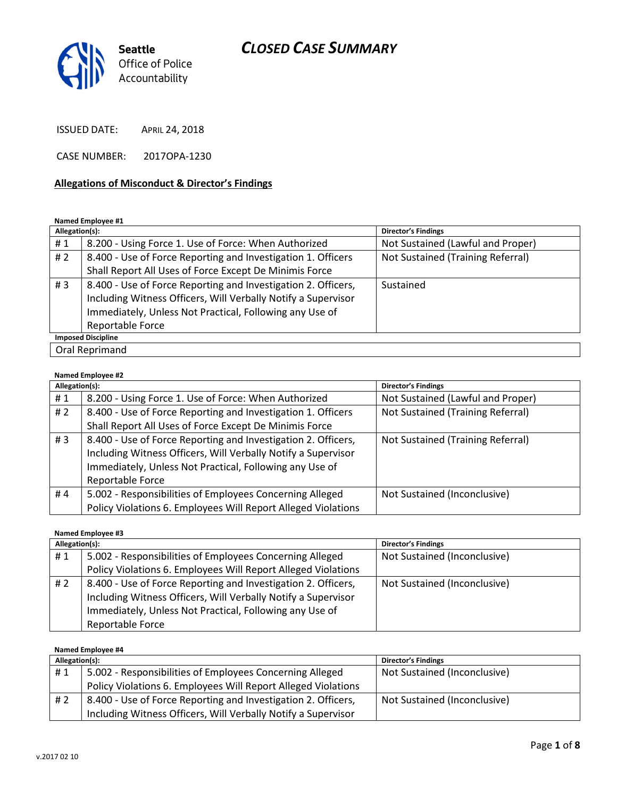

ISSUED DATE: APRIL 24, 2018

CASE NUMBER: 2017OPA-1230

#### Allegations of Misconduct & Director's Findings

#### Named Employee #1

| Allegation(s): |                                                                                                                                                                                                               | <b>Director's Findings</b>        |
|----------------|---------------------------------------------------------------------------------------------------------------------------------------------------------------------------------------------------------------|-----------------------------------|
| #1             | 8.200 - Using Force 1. Use of Force: When Authorized                                                                                                                                                          | Not Sustained (Lawful and Proper) |
| # 2            | 8.400 - Use of Force Reporting and Investigation 1. Officers                                                                                                                                                  | Not Sustained (Training Referral) |
|                | Shall Report All Uses of Force Except De Minimis Force                                                                                                                                                        |                                   |
| #3             | 8.400 - Use of Force Reporting and Investigation 2. Officers,<br>Including Witness Officers, Will Verbally Notify a Supervisor<br>Immediately, Unless Not Practical, Following any Use of<br>Reportable Force | Sustained                         |
|                | <b>Imposed Discipline</b>                                                                                                                                                                                     |                                   |
|                | Oral Reprimand                                                                                                                                                                                                |                                   |

#### Named Employee #2

| Allegation(s): |                                                               | <b>Director's Findings</b>        |
|----------------|---------------------------------------------------------------|-----------------------------------|
| #1             | 8.200 - Using Force 1. Use of Force: When Authorized          | Not Sustained (Lawful and Proper) |
| #2             | 8.400 - Use of Force Reporting and Investigation 1. Officers  | Not Sustained (Training Referral) |
|                | Shall Report All Uses of Force Except De Minimis Force        |                                   |
| #3             | 8.400 - Use of Force Reporting and Investigation 2. Officers, | Not Sustained (Training Referral) |
|                | Including Witness Officers, Will Verbally Notify a Supervisor |                                   |
|                | Immediately, Unless Not Practical, Following any Use of       |                                   |
|                | Reportable Force                                              |                                   |
| #4             | 5.002 - Responsibilities of Employees Concerning Alleged      | Not Sustained (Inconclusive)      |
|                | Policy Violations 6. Employees Will Report Alleged Violations |                                   |

#### Named Employee #3

| Allegation(s): |                                                               | <b>Director's Findings</b>   |
|----------------|---------------------------------------------------------------|------------------------------|
| #1             | 5.002 - Responsibilities of Employees Concerning Alleged      | Not Sustained (Inconclusive) |
|                | Policy Violations 6. Employees Will Report Alleged Violations |                              |
| # 2            | 8.400 - Use of Force Reporting and Investigation 2. Officers, | Not Sustained (Inconclusive) |
|                | Including Witness Officers, Will Verbally Notify a Supervisor |                              |
|                | Immediately, Unless Not Practical, Following any Use of       |                              |
|                | Reportable Force                                              |                              |

| Named Employee #4 |                                                               |                              |
|-------------------|---------------------------------------------------------------|------------------------------|
| Allegation(s):    |                                                               | <b>Director's Findings</b>   |
| #1                | 5.002 - Responsibilities of Employees Concerning Alleged      | Not Sustained (Inconclusive) |
|                   | Policy Violations 6. Employees Will Report Alleged Violations |                              |
| #2                | 8.400 - Use of Force Reporting and Investigation 2. Officers, | Not Sustained (Inconclusive) |
|                   | Including Witness Officers, Will Verbally Notify a Supervisor |                              |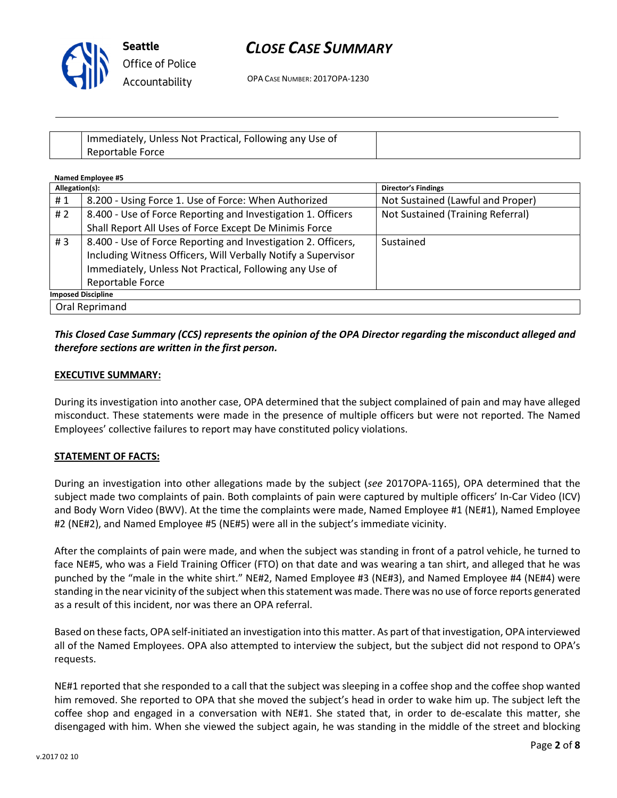

OPA CASE NUMBER: 2017OPA-1230

| Immediately, Unless Not Practical, Following any Use of |  |
|---------------------------------------------------------|--|
| Reportable Force                                        |  |

| <b>Named Employee #5</b> |                                                               |                                   |
|--------------------------|---------------------------------------------------------------|-----------------------------------|
| Allegation(s):           |                                                               | <b>Director's Findings</b>        |
| #1                       | 8.200 - Using Force 1. Use of Force: When Authorized          | Not Sustained (Lawful and Proper) |
| # 2                      | 8.400 - Use of Force Reporting and Investigation 1. Officers  | Not Sustained (Training Referral) |
|                          | Shall Report All Uses of Force Except De Minimis Force        |                                   |
| #3                       | 8.400 - Use of Force Reporting and Investigation 2. Officers, | Sustained                         |
|                          | Including Witness Officers, Will Verbally Notify a Supervisor |                                   |
|                          | Immediately, Unless Not Practical, Following any Use of       |                                   |
|                          | Reportable Force                                              |                                   |
|                          | <b>Imposed Discipline</b>                                     |                                   |
|                          | Oral Reprimand                                                |                                   |

## This Closed Case Summary (CCS) represents the opinion of the OPA Director regarding the misconduct alleged and therefore sections are written in the first person.

### EXECUTIVE SUMMARY:

During its investigation into another case, OPA determined that the subject complained of pain and may have alleged misconduct. These statements were made in the presence of multiple officers but were not reported. The Named Employees' collective failures to report may have constituted policy violations.

#### STATEMENT OF FACTS:

During an investigation into other allegations made by the subject (see 2017OPA-1165), OPA determined that the subject made two complaints of pain. Both complaints of pain were captured by multiple officers' In-Car Video (ICV) and Body Worn Video (BWV). At the time the complaints were made, Named Employee #1 (NE#1), Named Employee #2 (NE#2), and Named Employee #5 (NE#5) were all in the subject's immediate vicinity.

After the complaints of pain were made, and when the subject was standing in front of a patrol vehicle, he turned to face NE#5, who was a Field Training Officer (FTO) on that date and was wearing a tan shirt, and alleged that he was punched by the "male in the white shirt." NE#2, Named Employee #3 (NE#3), and Named Employee #4 (NE#4) were standing in the near vicinity of the subject when this statement was made. There was no use of force reports generated as a result of this incident, nor was there an OPA referral.

Based on these facts, OPA self-initiated an investigation into this matter. As part of that investigation, OPA interviewed all of the Named Employees. OPA also attempted to interview the subject, but the subject did not respond to OPA's requests.

NE#1 reported that she responded to a call that the subject was sleeping in a coffee shop and the coffee shop wanted him removed. She reported to OPA that she moved the subject's head in order to wake him up. The subject left the coffee shop and engaged in a conversation with NE#1. She stated that, in order to de-escalate this matter, she disengaged with him. When she viewed the subject again, he was standing in the middle of the street and blocking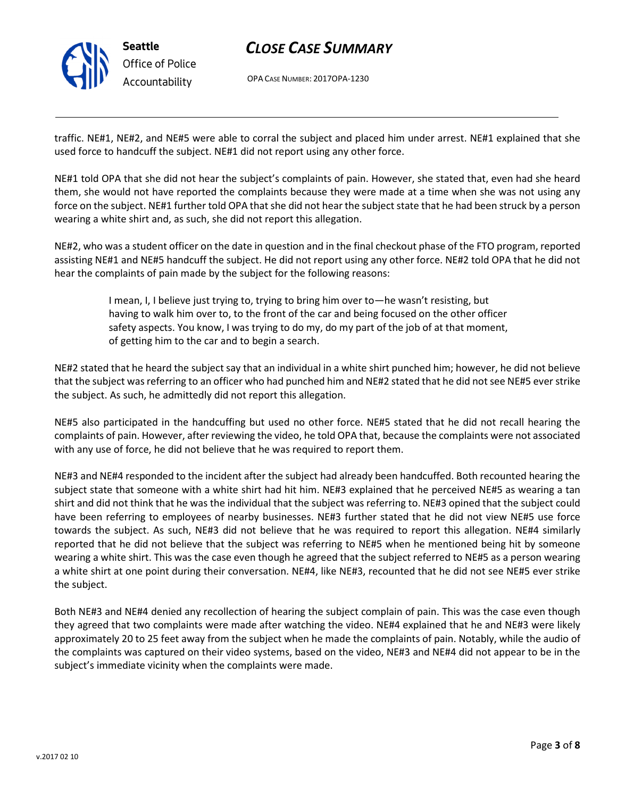

OPA CASE NUMBER: 2017OPA-1230

traffic. NE#1, NE#2, and NE#5 were able to corral the subject and placed him under arrest. NE#1 explained that she used force to handcuff the subject. NE#1 did not report using any other force.

NE#1 told OPA that she did not hear the subject's complaints of pain. However, she stated that, even had she heard them, she would not have reported the complaints because they were made at a time when she was not using any force on the subject. NE#1 further told OPA that she did not hear the subject state that he had been struck by a person wearing a white shirt and, as such, she did not report this allegation.

NE#2, who was a student officer on the date in question and in the final checkout phase of the FTO program, reported assisting NE#1 and NE#5 handcuff the subject. He did not report using any other force. NE#2 told OPA that he did not hear the complaints of pain made by the subject for the following reasons:

> I mean, I, I believe just trying to, trying to bring him over to—he wasn't resisting, but having to walk him over to, to the front of the car and being focused on the other officer safety aspects. You know, I was trying to do my, do my part of the job of at that moment, of getting him to the car and to begin a search.

NE#2 stated that he heard the subject say that an individual in a white shirt punched him; however, he did not believe that the subject was referring to an officer who had punched him and NE#2 stated that he did not see NE#5 ever strike the subject. As such, he admittedly did not report this allegation.

NE#5 also participated in the handcuffing but used no other force. NE#5 stated that he did not recall hearing the complaints of pain. However, after reviewing the video, he told OPA that, because the complaints were not associated with any use of force, he did not believe that he was required to report them.

NE#3 and NE#4 responded to the incident after the subject had already been handcuffed. Both recounted hearing the subject state that someone with a white shirt had hit him. NE#3 explained that he perceived NE#5 as wearing a tan shirt and did not think that he was the individual that the subject was referring to. NE#3 opined that the subject could have been referring to employees of nearby businesses. NE#3 further stated that he did not view NE#5 use force towards the subject. As such, NE#3 did not believe that he was required to report this allegation. NE#4 similarly reported that he did not believe that the subject was referring to NE#5 when he mentioned being hit by someone wearing a white shirt. This was the case even though he agreed that the subject referred to NE#5 as a person wearing a white shirt at one point during their conversation. NE#4, like NE#3, recounted that he did not see NE#5 ever strike the subject.

Both NE#3 and NE#4 denied any recollection of hearing the subject complain of pain. This was the case even though they agreed that two complaints were made after watching the video. NE#4 explained that he and NE#3 were likely approximately 20 to 25 feet away from the subject when he made the complaints of pain. Notably, while the audio of the complaints was captured on their video systems, based on the video, NE#3 and NE#4 did not appear to be in the subject's immediate vicinity when the complaints were made.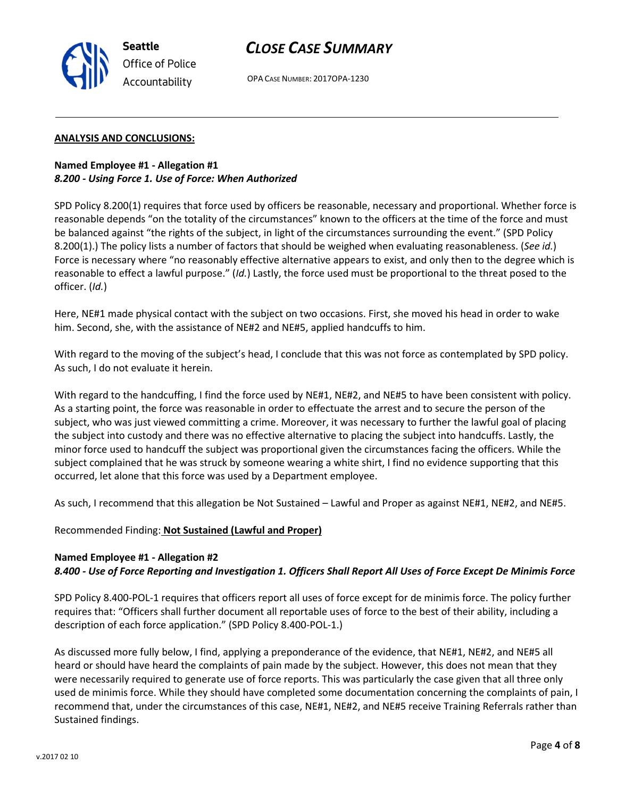OPA CASE NUMBER: 2017OPA-1230

#### ANALYSIS AND CONCLUSIONS:

Seattle

Office of Police Accountability

#### Named Employee #1 - Allegation #1 8.200 - Using Force 1. Use of Force: When Authorized

SPD Policy 8.200(1) requires that force used by officers be reasonable, necessary and proportional. Whether force is reasonable depends "on the totality of the circumstances" known to the officers at the time of the force and must be balanced against "the rights of the subject, in light of the circumstances surrounding the event." (SPD Policy 8.200(1).) The policy lists a number of factors that should be weighed when evaluating reasonableness. (See id.) Force is necessary where "no reasonably effective alternative appears to exist, and only then to the degree which is reasonable to effect a lawful purpose." (Id.) Lastly, the force used must be proportional to the threat posed to the officer. (Id.)

Here, NE#1 made physical contact with the subject on two occasions. First, she moved his head in order to wake him. Second, she, with the assistance of NE#2 and NE#5, applied handcuffs to him.

With regard to the moving of the subject's head, I conclude that this was not force as contemplated by SPD policy. As such, I do not evaluate it herein.

With regard to the handcuffing, I find the force used by NE#1, NE#2, and NE#5 to have been consistent with policy. As a starting point, the force was reasonable in order to effectuate the arrest and to secure the person of the subject, who was just viewed committing a crime. Moreover, it was necessary to further the lawful goal of placing the subject into custody and there was no effective alternative to placing the subject into handcuffs. Lastly, the minor force used to handcuff the subject was proportional given the circumstances facing the officers. While the subject complained that he was struck by someone wearing a white shirt, I find no evidence supporting that this occurred, let alone that this force was used by a Department employee.

As such, I recommend that this allegation be Not Sustained – Lawful and Proper as against NE#1, NE#2, and NE#5.

Recommended Finding: Not Sustained (Lawful and Proper)

#### Named Employee #1 - Allegation #2

#### 8.400 - Use of Force Reporting and Investigation 1. Officers Shall Report All Uses of Force Except De Minimis Force

SPD Policy 8.400-POL-1 requires that officers report all uses of force except for de minimis force. The policy further requires that: "Officers shall further document all reportable uses of force to the best of their ability, including a description of each force application." (SPD Policy 8.400-POL-1.)

As discussed more fully below, I find, applying a preponderance of the evidence, that NE#1, NE#2, and NE#5 all heard or should have heard the complaints of pain made by the subject. However, this does not mean that they were necessarily required to generate use of force reports. This was particularly the case given that all three only used de minimis force. While they should have completed some documentation concerning the complaints of pain, I recommend that, under the circumstances of this case, NE#1, NE#2, and NE#5 receive Training Referrals rather than Sustained findings.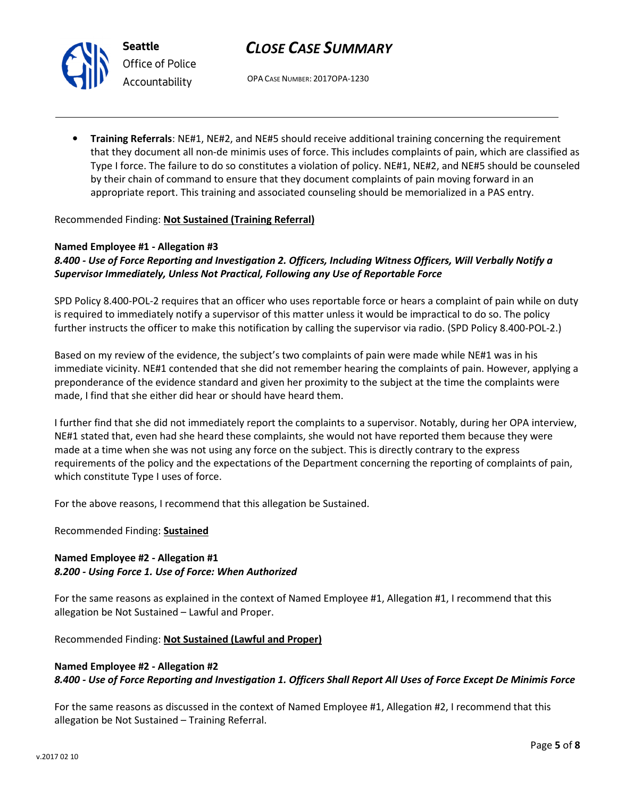



Seattle Office of Police Accountability

OPA CASE NUMBER: 2017OPA-1230

• Training Referrals: NE#1, NE#2, and NE#5 should receive additional training concerning the requirement that they document all non-de minimis uses of force. This includes complaints of pain, which are classified as Type I force. The failure to do so constitutes a violation of policy. NE#1, NE#2, and NE#5 should be counseled by their chain of command to ensure that they document complaints of pain moving forward in an appropriate report. This training and associated counseling should be memorialized in a PAS entry.

## Recommended Finding: Not Sustained (Training Referral)

### Named Employee #1 - Allegation #3

## 8.400 - Use of Force Reporting and Investigation 2. Officers, Including Witness Officers, Will Verbally Notify a Supervisor Immediately, Unless Not Practical, Following any Use of Reportable Force

SPD Policy 8.400-POL-2 requires that an officer who uses reportable force or hears a complaint of pain while on duty is required to immediately notify a supervisor of this matter unless it would be impractical to do so. The policy further instructs the officer to make this notification by calling the supervisor via radio. (SPD Policy 8.400-POL-2.)

Based on my review of the evidence, the subject's two complaints of pain were made while NE#1 was in his immediate vicinity. NE#1 contended that she did not remember hearing the complaints of pain. However, applying a preponderance of the evidence standard and given her proximity to the subject at the time the complaints were made, I find that she either did hear or should have heard them.

I further find that she did not immediately report the complaints to a supervisor. Notably, during her OPA interview, NE#1 stated that, even had she heard these complaints, she would not have reported them because they were made at a time when she was not using any force on the subject. This is directly contrary to the express requirements of the policy and the expectations of the Department concerning the reporting of complaints of pain, which constitute Type I uses of force.

For the above reasons, I recommend that this allegation be Sustained.

Recommended Finding: Sustained

## Named Employee #2 - Allegation #1 8.200 - Using Force 1. Use of Force: When Authorized

For the same reasons as explained in the context of Named Employee #1, Allegation #1, I recommend that this allegation be Not Sustained – Lawful and Proper.

Recommended Finding: Not Sustained (Lawful and Proper)

## Named Employee #2 - Allegation #2 8.400 - Use of Force Reporting and Investigation 1. Officers Shall Report All Uses of Force Except De Minimis Force

For the same reasons as discussed in the context of Named Employee #1, Allegation #2, I recommend that this allegation be Not Sustained – Training Referral.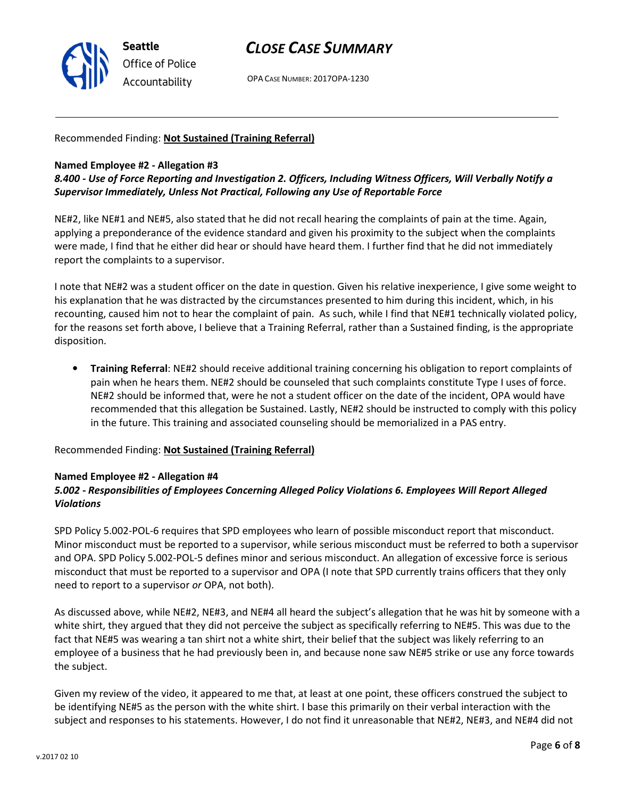

OPA CASE NUMBER: 2017OPA-1230

## Recommended Finding: Not Sustained (Training Referral)

#### Named Employee #2 - Allegation #3

## 8.400 - Use of Force Reporting and Investigation 2. Officers, Including Witness Officers, Will Verbally Notify a Supervisor Immediately, Unless Not Practical, Following any Use of Reportable Force

NE#2, like NE#1 and NE#5, also stated that he did not recall hearing the complaints of pain at the time. Again, applying a preponderance of the evidence standard and given his proximity to the subject when the complaints were made, I find that he either did hear or should have heard them. I further find that he did not immediately report the complaints to a supervisor.

I note that NE#2 was a student officer on the date in question. Given his relative inexperience, I give some weight to his explanation that he was distracted by the circumstances presented to him during this incident, which, in his recounting, caused him not to hear the complaint of pain. As such, while I find that NE#1 technically violated policy, for the reasons set forth above, I believe that a Training Referral, rather than a Sustained finding, is the appropriate disposition.

• Training Referral: NE#2 should receive additional training concerning his obligation to report complaints of pain when he hears them. NE#2 should be counseled that such complaints constitute Type I uses of force. NE#2 should be informed that, were he not a student officer on the date of the incident, OPA would have recommended that this allegation be Sustained. Lastly, NE#2 should be instructed to comply with this policy in the future. This training and associated counseling should be memorialized in a PAS entry.

Recommended Finding: Not Sustained (Training Referral)

## Named Employee #2 - Allegation #4

## 5.002 - Responsibilities of Employees Concerning Alleged Policy Violations 6. Employees Will Report Alleged Violations

SPD Policy 5.002-POL-6 requires that SPD employees who learn of possible misconduct report that misconduct. Minor misconduct must be reported to a supervisor, while serious misconduct must be referred to both a supervisor and OPA. SPD Policy 5.002-POL-5 defines minor and serious misconduct. An allegation of excessive force is serious misconduct that must be reported to a supervisor and OPA (I note that SPD currently trains officers that they only need to report to a supervisor or OPA, not both).

As discussed above, while NE#2, NE#3, and NE#4 all heard the subject's allegation that he was hit by someone with a white shirt, they argued that they did not perceive the subject as specifically referring to NE#5. This was due to the fact that NE#5 was wearing a tan shirt not a white shirt, their belief that the subject was likely referring to an employee of a business that he had previously been in, and because none saw NE#5 strike or use any force towards the subject.

Given my review of the video, it appeared to me that, at least at one point, these officers construed the subject to be identifying NE#5 as the person with the white shirt. I base this primarily on their verbal interaction with the subject and responses to his statements. However, I do not find it unreasonable that NE#2, NE#3, and NE#4 did not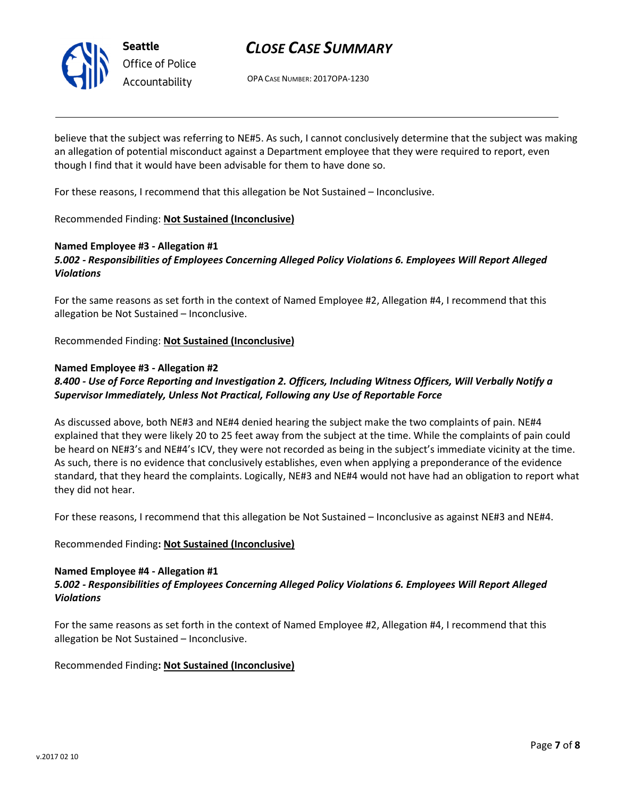

Seattle Office of Police Accountability

## CLOSE CASE SUMMARY

OPA CASE NUMBER: 2017OPA-1230

believe that the subject was referring to NE#5. As such, I cannot conclusively determine that the subject was making an allegation of potential misconduct against a Department employee that they were required to report, even though I find that it would have been advisable for them to have done so.

For these reasons, I recommend that this allegation be Not Sustained – Inconclusive.

### Recommended Finding: Not Sustained (Inconclusive)

### Named Employee #3 - Allegation #1

5.002 - Responsibilities of Employees Concerning Alleged Policy Violations 6. Employees Will Report Alleged Violations

For the same reasons as set forth in the context of Named Employee #2, Allegation #4, I recommend that this allegation be Not Sustained – Inconclusive.

Recommended Finding: Not Sustained (Inconclusive)

#### Named Employee #3 - Allegation #2

## 8.400 - Use of Force Reporting and Investigation 2. Officers, Including Witness Officers, Will Verbally Notify a Supervisor Immediately, Unless Not Practical, Following any Use of Reportable Force

As discussed above, both NE#3 and NE#4 denied hearing the subject make the two complaints of pain. NE#4 explained that they were likely 20 to 25 feet away from the subject at the time. While the complaints of pain could be heard on NE#3's and NE#4's ICV, they were not recorded as being in the subject's immediate vicinity at the time. As such, there is no evidence that conclusively establishes, even when applying a preponderance of the evidence standard, that they heard the complaints. Logically, NE#3 and NE#4 would not have had an obligation to report what they did not hear.

For these reasons, I recommend that this allegation be Not Sustained – Inconclusive as against NE#3 and NE#4.

#### Recommended Finding: Not Sustained (Inconclusive)

#### Named Employee #4 - Allegation #1 5.002 - Responsibilities of Employees Concerning Alleged Policy Violations 6. Employees Will Report Alleged Violations

For the same reasons as set forth in the context of Named Employee #2, Allegation #4, I recommend that this allegation be Not Sustained – Inconclusive.

## Recommended Finding: Not Sustained (Inconclusive)